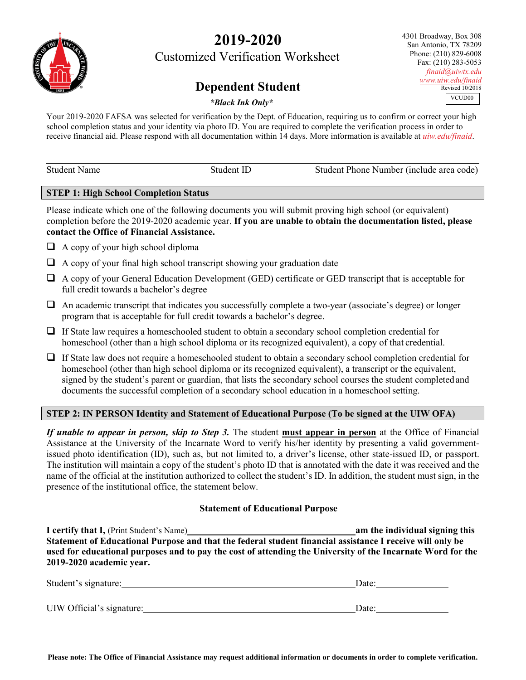# **2019-2020**

Customized Verification Worksheet

## **Dependent Student**

4301 Broadway, Box 308 San Antonio, TX 78209 Phone: (210) 829-6008 Fax: (210) 283-5053 *[finaid@uiwtx.edu](mailto:finaid@uiwtx.edu) [www.uiw.edu/finaid](http://www.uiw.edu/finaid)* Revised 10/2018 VCUD<sub>00</sub>

## *\*Black Ink Only\**

Your 2019-2020 FAFSA was selected for verification by the Dept. of Education, requiring us to confirm or correct your high school completion status and your identity via photo ID. You are required to complete the verification process in order to receive financial aid. Please respond with all documentation within 14 days. More information is available at *uiw.edu/finaid*.

| <b>Student Name</b> | Student ID | Student Phone Number (include area code) |
|---------------------|------------|------------------------------------------|
|                     |            |                                          |

#### **STEP 1: High School Completion Status**

Please indicate which one of the following documents you will submit proving high school (or equivalent) completion before the 2019-2020 academic year. **If you are unable to obtain the documentation listed, please contact the Office of Financial Assistance.**

- $\Box$  A copy of your high school diploma
- $\Box$  A copy of your final high school transcript showing your graduation date
- A copy of your General Education Development (GED) certificate or GED transcript that is acceptable for full credit towards a bachelor's degree
- $\Box$  An academic transcript that indicates you successfully complete a two-year (associate's degree) or longer program that is acceptable for full credit towards a bachelor's degree.
- $\Box$  If State law requires a homeschooled student to obtain a secondary school completion credential for homeschool (other than a high school diploma or its recognized equivalent), a copy of that credential.
- $\Box$  If State law does not require a homeschooled student to obtain a secondary school completion credential for homeschool (other than high school diploma or its recognized equivalent), a transcript or the equivalent, signed by the student's parent or guardian, that lists the secondary school courses the student completed and documents the successful completion of a secondary school education in a homeschool setting.

## **STEP 2: IN PERSON Identity and Statement of Educational Purpose (To be signed at the UIW OFA)**

*If unable to appear in person, skip to Step 3.* The student **must appear in person** at the Office of Financial Assistance at the University of the Incarnate Word to verify his/her identity by presenting a valid governmentissued photo identification (ID), such as, but not limited to, a driver's license, other state-issued ID, or passport. The institution will maintain a copy of the student's photo ID that is annotated with the date it was received and the name of the official at the institution authorized to collect the student's ID. In addition, the student must sign, in the presence of the institutional office, the statement below.

## **Statement of Educational Purpose**

**I certify that I,** (Print Student's Name) **am the individual signing this Statement of Educational Purpose and that the federal student financial assistance I receive will only be used for educational purposes and to pay the cost of attending the University of the Incarnate Word for the 2019-2020 academic year.**

| Student's signature:      | Date: |
|---------------------------|-------|
| UIW Official's signature: | Date: |